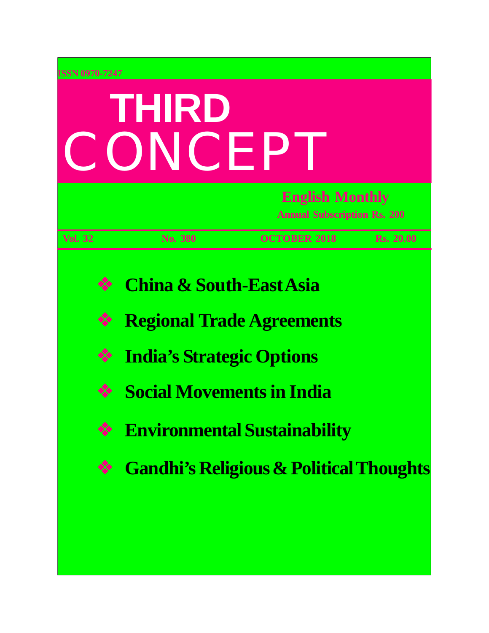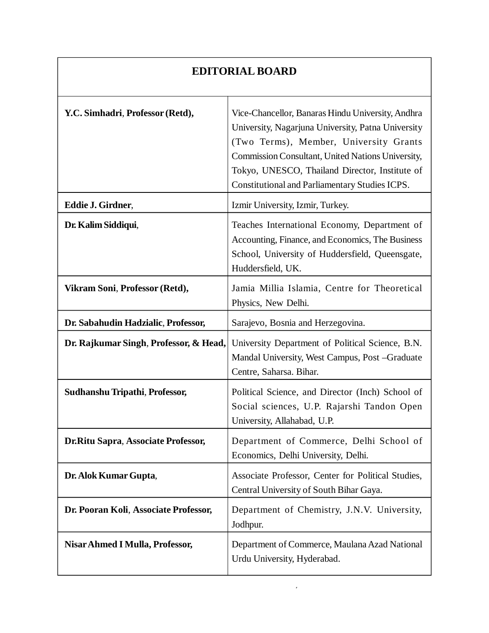### **EDITORIAL BOARD**

| Y.C. Simhadri, Professor (Retd),       | Vice-Chancellor, Banaras Hindu University, Andhra<br>University, Nagarjuna University, Patna University<br>(Two Terms), Member, University Grants<br>Commission Consultant, United Nations University,<br>Tokyo, UNESCO, Thailand Director, Institute of<br><b>Constitutional and Parliamentary Studies ICPS.</b> |
|----------------------------------------|-------------------------------------------------------------------------------------------------------------------------------------------------------------------------------------------------------------------------------------------------------------------------------------------------------------------|
| Eddie J. Girdner,                      | Izmir University, Izmir, Turkey.                                                                                                                                                                                                                                                                                  |
| Dr. Kalim Siddiqui,                    | Teaches International Economy, Department of<br>Accounting, Finance, and Economics, The Business<br>School, University of Huddersfield, Queensgate,<br>Huddersfield, UK.                                                                                                                                          |
| Vikram Soni, Professor (Retd),         | Jamia Millia Islamia, Centre for Theoretical<br>Physics, New Delhi.                                                                                                                                                                                                                                               |
| Dr. Sabahudin Hadzialic, Professor,    | Sarajevo, Bosnia and Herzegovina.                                                                                                                                                                                                                                                                                 |
| Dr. Rajkumar Singh, Professor, & Head, | University Department of Political Science, B.N.<br>Mandal University, West Campus, Post -Graduate<br>Centre, Saharsa. Bihar.                                                                                                                                                                                     |
| Sudhanshu Tripathi, Professor,         | Political Science, and Director (Inch) School of<br>Social sciences, U.P. Rajarshi Tandon Open<br>University, Allahabad, U.P.                                                                                                                                                                                     |
| Dr.Ritu Sapra, Associate Professor,    | Department of Commerce, Delhi School of<br>Economics, Delhi University, Delhi.                                                                                                                                                                                                                                    |
| Dr. Alok Kumar Gupta,                  | Associate Professor, Center for Political Studies,<br>Central University of South Bihar Gaya.                                                                                                                                                                                                                     |
|                                        |                                                                                                                                                                                                                                                                                                                   |
| Dr. Pooran Koli, Associate Professor,  | Department of Chemistry, J.N.V. University,<br>Jodhpur.                                                                                                                                                                                                                                                           |

 $5$  Third Concept, or  $\mathcal{S}$  Third Concept, or  $\mathcal{S}$  Third Concept, or  $\mathcal{S}$  Third Concept, or  $\mathcal{S}$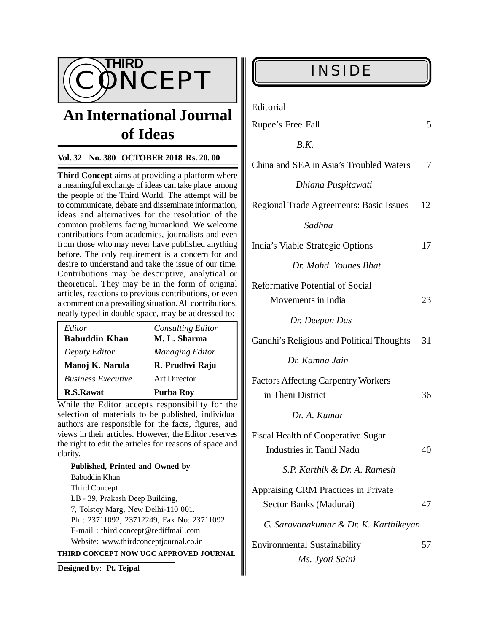

# **An International Journal of Ideas**

### **Vol. 32 No. 380 OCTOBER 2018 Rs. 20. 00**

**Third Concept** aims at providing a platform where a meaningful exchange of ideas can take place among the people of the Third World. The attempt will be to communicate, debate and disseminate information, ideas and alternatives for the resolution of the common problems facing humankind. We welcome contributions from academics, journalists and even from those who may never have published anything before. The only requirement is a concern for and desire to understand and take the issue of our time. Contributions may be descriptive, analytical or theoretical. They may be in the form of original articles, reactions to previous contributions, or even a comment on a prevailing situation. All contributions, neatly typed in double space, may be addressed to:

| Editor                    | <b>Consulting Editor</b> |
|---------------------------|--------------------------|
| <b>Babuddin Khan</b>      | M. L. Sharma             |
| Deputy Editor             | <b>Managing Editor</b>   |
| Manoj K. Narula           | R. Prudhvi Raju          |
| <b>Business Executive</b> | <b>Art Director</b>      |
| <b>R.S.Rawat</b>          | Purba Roy                |

While the Editor accepts responsibility for the selection of materials to be published, individual authors are responsible for the facts, figures, and views in their articles. However, the Editor reserves the right to edit the articles for reasons of space and clarity.

**Published, Printed and Owned by** Babuddin Khan Third Concept LB - 39, Prakash Deep Building, 7, Tolstoy Marg, New Delhi-110 001. Ph : 23711092, 23712249, Fax No: 23711092. E-mail : [third.concept@rediffmail.com](mailto:third.concept@rediffmail.com) Website: [www.thirdconceptjournal.co.in](http://www.thirdconceptjournal.co.in) **THIRD CONCEPT NOW UGC APPROVED JOURNAL**

**Designed by**: **Pt. Tejpal**

Editorial

| Rupee's Free Fall                                                            | 5  |
|------------------------------------------------------------------------------|----|
| B.K.                                                                         |    |
| China and SEA in Asia's Troubled Waters                                      | 7  |
| Dhiana Puspitawati                                                           |    |
| Regional Trade Agreements: Basic Issues                                      | 12 |
| Sadhna                                                                       |    |
| India's Viable Strategic Options                                             | 17 |
| Dr. Mohd. Younes Bhat                                                        |    |
| <b>Reformative Potential of Social</b>                                       |    |
| Movements in India                                                           | 23 |
| Dr. Deepan Das                                                               |    |
| Gandhi's Religious and Political Thoughts                                    | 31 |
| Dr. Kamna Jain                                                               |    |
| <b>Factors Affecting Carpentry Workers</b><br>in Theni District              | 36 |
| Dr. A. Kumar                                                                 |    |
| <b>Fiscal Health of Cooperative Sugar</b><br><b>Industries in Tamil Nadu</b> | 40 |
| S.P. Karthik & Dr. A. Ramesh                                                 |    |
| Appraising CRM Practices in Private<br>Sector Banks (Madurai)                | 47 |
| G. Saravanakumar & Dr. K. Karthikeyan                                        |    |
| <b>Environmental Sustainability</b><br>Ms. Jyoti Saini                       | 57 |